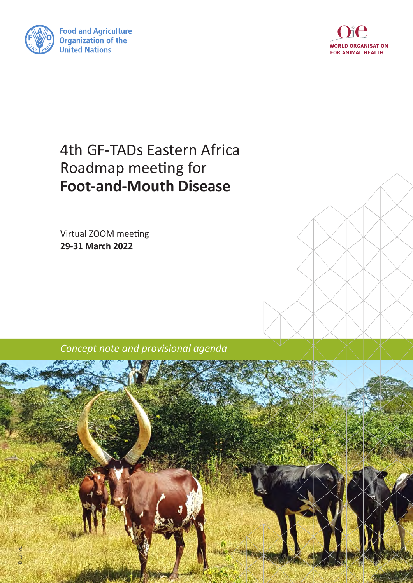



# 4th GF-TADs Eastern Africa Roadmap meeting for **Foot-and-Mouth Disease**

Virtual ZOOM meeting **29-31 March 2022**



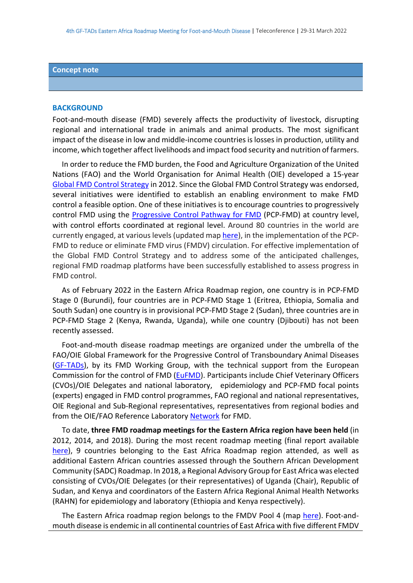#### **Concept note**

#### **BACKGROUND**

Foot-and-mouth disease (FMD) severely affects the productivity of livestock, disrupting regional and international trade in animals and animal products. The most significant impact of the disease in low and middle-income countries is losses in production, utility and income, which together affect livelihoods and impact food security and nutrition of farmers.

 In order to reduce the FMD burden, the Food and Agriculture Organization of the United Nations (FAO) and the World Organisation for Animal Health (OIE) developed a 15-year [Global FMD Control Strategy](http://www.fao.org/3/a-an390e.pdf) in 2012. Since the Global FMD Control Strategy was endorsed, several initiatives were identified to establish an enabling environment to make FMD control a feasible option. One of these initiatives is to encourage countries to progressively control FMD using the [Progressive Control Pathway for FMD](http://www.fao.org/3/CA1331EN/ca1331en.pdf) (PCP-FMD) at country level, with control efforts coordinated at regional level. Around 80 countries in the world are currently engaged, at various levels (updated map [here\)](http://www.gf-tads.org/fmd/progress-on-fmd-control-strategy/en/), in the implementation of the PCP-FMD to reduce or eliminate FMD virus (FMDV) circulation. For effective implementation of the Global FMD Control Strategy and to address some of the anticipated challenges, regional FMD roadmap platforms have been successfully established to assess progress in FMD control.

 As of February 2022 in the Eastern Africa Roadmap region, one country is in PCP-FMD Stage 0 (Burundi), four countries are in PCP-FMD Stage 1 (Eritrea, Ethiopia, Somalia and South Sudan) one country is in provisional PCP-FMD Stage 2 (Sudan), three countries are in PCP-FMD Stage 2 (Kenya, Rwanda, Uganda), while one country (Djibouti) has not been recently assessed.

 Foot-and-mouth disease roadmap meetings are organized under the umbrella of the FAO/OIE Global Framework for the Progressive Control of Transboundary Animal Diseases [\(GF-TADs\)](http://www.gf-tads.org/fmd/fmd/en/), by its FMD Working Group, with the technical support from the European Commission for the control of FMD [\(EuFMD\)](http://www.fao.org/eufmd/what-we-do/pillar-3/component-31/en/). Participants include Chief Veterinary Officers (CVOs)/OIE Delegates and national laboratory, epidemiology and PCP-FMD focal points (experts) engaged in FMD control programmes, FAO regional and national representatives, OIE Regional and Sub-Regional representatives, representatives from regional bodies and from the OIE/FAO Reference Laboratory [Network](https://www.foot-and-mouth.org/) for FMD.

 To date, **three FMD roadmap meetings for the Eastern Africa region have been held** (in 2012, 2014, and 2018). During the most recent roadmap meeting (final report available [here\)](https://www.fao.org/3/CA1479EN/ca1479en.pdf), 9 countries belonging to the East Africa Roadmap region attended, as well as additional Eastern African countries assessed through the Southern African Development Community (SADC) Roadmap. In 2018, a Regional Advisory Group for East Africa was elected consisting of CVOs/OIE Delegates (or their representatives) of Uganda (Chair), Republic of Sudan, and Kenya and coordinators of the Eastern Africa Regional Animal Health Networks (RAHN) for epidemiology and laboratory (Ethiopia and Kenya respectively).

 The Eastern Africa roadmap region belongs to the FMDV Pool 4 (map [here\)](https://www.foot-and-mouth.org/#fmdv-pools). Foot-andmouth disease is endemic in all continental countries of East Africa with five different FMDV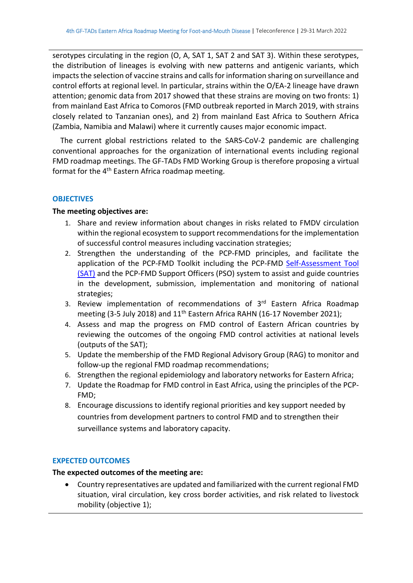serotypes circulating in the region (O, A, SAT 1, SAT 2 and SAT 3). Within these serotypes, the distribution of lineages is evolving with new patterns and antigenic variants, which impacts the selection of vaccine strains and calls for information sharing on surveillance and control efforts at regional level. In particular, strains within the O/EA-2 lineage have drawn attention; genomic data from 2017 showed that these strains are moving on two fronts: 1) from mainland East Africa to Comoros (FMD outbreak reported in March 2019, with strains closely related to Tanzanian ones), and 2) from mainland East Africa to Southern Africa (Zambia, Namibia and Malawi) where it currently causes major economic impact.

The current global restrictions related to the SARS-CoV-2 pandemic are challenging conventional approaches for the organization of international events including regional FMD roadmap meetings. The GF-TADs FMD Working Group is therefore proposing a virtual format for the 4<sup>th</sup> Eastern Africa roadmap meeting.

#### **OBJECTIVES**

#### **The meeting objectives are:**

- 1. Share and review information about changes in risks related to FMDV circulation within the regional ecosystem to support recommendations for the implementation of successful control measures including vaccination strategies;
- 2. Strengthen the understanding of the PCP-FMD principles, and facilitate the application of the PCP-FMD Toolkit including the PCP-FMD [Self-Assessment Tool](https://www.eufmd.info/sat-pcp-fmd) (SAT) and the PCP-FMD Support Officers (PSO) system to assist and guide countries in the development, submission, implementation and monitoring of national strategies;
- 3. Review implementation of recommendations of  $3<sup>rd</sup>$  Eastern Africa Roadmap meeting (3-5 July 2018) and 11<sup>th</sup> Eastern Africa RAHN (16-17 November 2021);
- 4. Assess and map the progress on FMD control of Eastern African countries by reviewing the outcomes of the ongoing FMD control activities at national levels (outputs of the SAT);
- 5. Update the membership of the FMD Regional Advisory Group (RAG) to monitor and follow-up the regional FMD roadmap recommendations;
- 6. Strengthen the regional epidemiology and laboratory networks for Eastern Africa;
- 7. Update the Roadmap for FMD control in East Africa, using the principles of the PCP-FMD;
- 8. Encourage discussions to identify regional priorities and key support needed by countries from development partners to control FMD and to strengthen their surveillance systems and laboratory capacity.

#### **EXPECTED OUTCOMES**

#### **The expected outcomes of the meeting are:**

• Country representatives are updated and familiarized with the current regional FMD situation, viral circulation, key cross border activities, and risk related to livestock mobility (objective 1);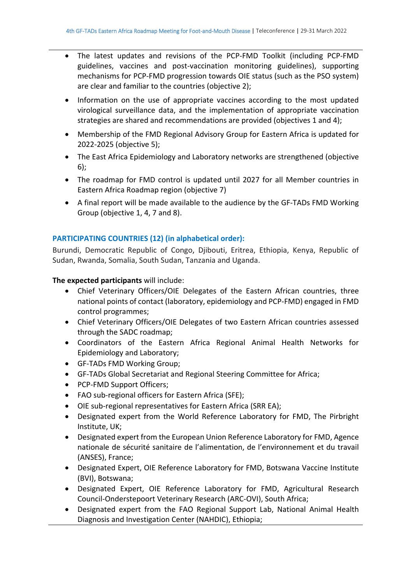- The latest updates and revisions of the PCP-FMD Toolkit (including PCP-FMD guidelines, vaccines and post-vaccination monitoring guidelines), supporting mechanisms for PCP-FMD progression towards OIE status (such as the PSO system) are clear and familiar to the countries (objective 2);
- Information on the use of appropriate vaccines according to the most updated virological surveillance data, and the implementation of appropriate vaccination strategies are shared and recommendations are provided (objectives 1 and 4);
- Membership of the FMD Regional Advisory Group for Eastern Africa is updated for 2022-2025 (objective 5);
- The East Africa Epidemiology and Laboratory networks are strengthened (objective 6);
- The roadmap for FMD control is updated until 2027 for all Member countries in Eastern Africa Roadmap region (objective 7)
- A final report will be made available to the audience by the GF-TADs FMD Working Group (objective 1, 4, 7 and 8).

## **PARTICIPATING COUNTRIES (12) (in alphabetical order):**

Burundi, Democratic Republic of Congo, Djibouti, Eritrea, Ethiopia, Kenya, Republic of Sudan, Rwanda, Somalia, South Sudan, Tanzania and Uganda.

#### **The expected participants** will include:

- Chief Veterinary Officers/OIE Delegates of the Eastern African countries, three national points of contact (laboratory, epidemiology and PCP-FMD) engaged in FMD control programmes;
- Chief Veterinary Officers/OIE Delegates of two Eastern African countries assessed through the SADC roadmap;
- Coordinators of the Eastern Africa Regional Animal Health Networks for Epidemiology and Laboratory;
- GF-TADs FMD Working Group;
- GF-TADs Global Secretariat and Regional Steering Committee for Africa;
- PCP-FMD Support Officers;
- FAO sub-regional officers for Eastern Africa (SFE);
- OIE sub-regional representatives for Eastern Africa (SRR EA);
- Designated expert from the World Reference Laboratory for FMD, The Pirbright Institute, UK;
- Designated expert from the European Union Reference Laboratory for FMD, Agence nationale de sécurité sanitaire de l'alimentation, de l'environnement et du travail (ANSES), France;
- Designated Expert, OIE Reference Laboratory for FMD, Botswana Vaccine Institute (BVI), Botswana;
- Designated Expert, OIE Reference Laboratory for FMD, Agricultural Research Council-Onderstepoort Veterinary Research (ARC-OVI), South Africa;
- Designated expert from the FAO Regional Support Lab, National Animal Health Diagnosis and Investigation Center (NAHDIC), Ethiopia;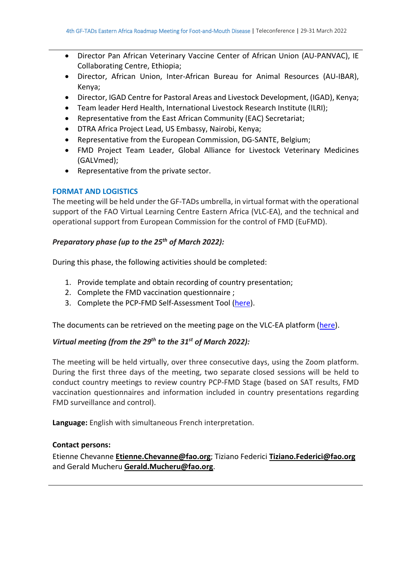- Director Pan African Veterinary Vaccine Center of African Union (AU-PANVAC), IE Collaborating Centre, Ethiopia;
- Director, African Union, Inter-African Bureau for Animal Resources (AU-IBAR), Kenya;
- Director, IGAD Centre for Pastoral Areas and Livestock Development, (IGAD), Kenya;
- Team leader Herd Health, International Livestock Research Institute (ILRI);
- Representative from the East African Community (EAC) Secretariat;
- DTRA Africa Project Lead, US Embassy, Nairobi, Kenya;
- Representative from the European Commission, DG-SANTE, Belgium;
- FMD Project Team Leader, Global Alliance for Livestock Veterinary Medicines (GALVmed);
- Representative from the private sector.

#### **FORMAT AND LOGISTICS**

The meeting will be held under the GF-TADs umbrella, in virtual format with the operational support of the FAO Virtual Learning Centre Eastern Africa (VLC-EA), and the technical and operational support from European Commission for the control of FMD (EuFMD).

#### *Preparatory phase (up to the 25th of March 2022):*

During this phase, the following activities should be completed:

- 1. Provide template and obtain recording of country presentation;
- 2. Complete the FMD vaccination questionnaire ;
- 3. Complete the PCP-FMD Self-Assessment Tool [\(here\)](https://www.eufmd.info/sat-pcp-fmd).

The documents can be retrieved on the meeting page on the VLC-EA platform [\(here\)](https://virtual-learning-center.fao.org/course/view.php?id=27).

### *Virtual meeting (from the 29th to the 31st of March 2022):*

The meeting will be held virtually, over three consecutive days, using the Zoom platform. During the first three days of the meeting, two separate closed sessions will be held to conduct country meetings to review country PCP-FMD Stage (based on SAT results, FMD vaccination questionnaires and information included in country presentations regarding FMD surveillance and control).

**Language:** English with simultaneous French interpretation.

#### **Contact persons:**

Etienne Chevanne **[Etienne.Chevanne@fao.org](mailto:Etienne.Chevanne@fao.org)**; Tiziano Federici **[Tiziano.Federici@fao.org](mailto:Tiziano.Federici@fao.org)** and Gerald Mucheru **[Gerald.Mucheru@fao.org](mailto:Gerald.Mucheru@fao.org)**.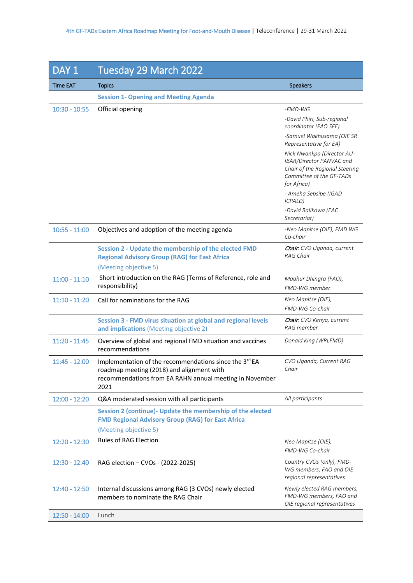| DAY <sub>1</sub> | Tuesday 29 March 2022                                                                                                                                                  |                                                                                                                                     |
|------------------|------------------------------------------------------------------------------------------------------------------------------------------------------------------------|-------------------------------------------------------------------------------------------------------------------------------------|
| <b>Time EAT</b>  | <b>Topics</b>                                                                                                                                                          | <b>Speakers</b>                                                                                                                     |
|                  | <b>Session 1- Opening and Meeting Agenda</b>                                                                                                                           |                                                                                                                                     |
| $10:30 - 10:55$  | Official opening                                                                                                                                                       | $-FMD-WG$                                                                                                                           |
|                  |                                                                                                                                                                        | -David Phiri, Sub-regional<br>coordinator (FAO SFE)                                                                                 |
|                  |                                                                                                                                                                        | -Samuel Wakhusama (OIE SR<br>Representative for EA)                                                                                 |
|                  |                                                                                                                                                                        | Nick Nwankpa (Director AU-<br>IBAR/Director PANVAC and<br>Chair of the Regional Steering<br>Committee of the GF-TADs<br>for Africa) |
|                  |                                                                                                                                                                        | - Ameha Sebsibe (IGAD<br>ICPALD)                                                                                                    |
|                  |                                                                                                                                                                        | -David Balikowa (EAC<br>Secretariat)                                                                                                |
| $10:55 - 11:00$  | Objectives and adoption of the meeting agenda                                                                                                                          | -Neo Mapitse (OIE), FMD WG<br>Co-chair                                                                                              |
|                  | Session 2 - Update the membership of the elected FMD<br><b>Regional Advisory Group (RAG) for East Africa</b><br>(Meeting objective 5)                                  | Chair. CVO Uganda, current<br><b>RAG Chair</b>                                                                                      |
| $11:00 - 11:10$  | Short introduction on the RAG (Terms of Reference, role and<br>responsibility)                                                                                         | Madhur Dhingra (FAO),<br>FMD-WG member                                                                                              |
| $11:10 - 11:20$  | Call for nominations for the RAG                                                                                                                                       | Neo Mapitse (OIE),<br>FMD-WG Co-chair                                                                                               |
|                  | Session 3 - FMD virus situation at global and regional levels<br>and implications (Meeting objective 2)                                                                | Chair. CVO Kenya, current<br>RAG member                                                                                             |
| $11:20 - 11:45$  | Overview of global and regional FMD situation and vaccines<br>recommendations                                                                                          | Donald King (WRLFMD)                                                                                                                |
| $11:45 - 12:00$  | Implementation of the recommendations since the 3rd EA<br>roadmap meeting (2018) and alignment with<br>recommendations from EA RAHN annual meeting in November<br>2021 | CVO Uganda, Current RAG<br>Chair                                                                                                    |
| $12:00 - 12:20$  | Q&A moderated session with all participants                                                                                                                            | All participants                                                                                                                    |
|                  | Session 2 (continue)- Update the membership of the elected<br><b>FMD Regional Advisory Group (RAG) for East Africa</b>                                                 |                                                                                                                                     |
|                  | (Meeting objective 5)                                                                                                                                                  |                                                                                                                                     |
| $12:20 - 12:30$  | <b>Rules of RAG Election</b>                                                                                                                                           | Neo Mapitse (OIE),<br>FMD-WG Co-chair                                                                                               |
| $12:30 - 12:40$  | RAG election - CVOs - (2022-2025)                                                                                                                                      | Country CVOs (only), FMD-<br>WG members, FAO and OIE<br>regional representatives                                                    |
| $12:40 - 12:50$  | Internal discussions among RAG (3 CVOs) newly elected<br>members to nominate the RAG Chair                                                                             | Newly elected RAG members,<br>FMD-WG members, FAO and<br>OIE regional representatives                                               |
| $12:50 - 14:00$  | Lunch                                                                                                                                                                  |                                                                                                                                     |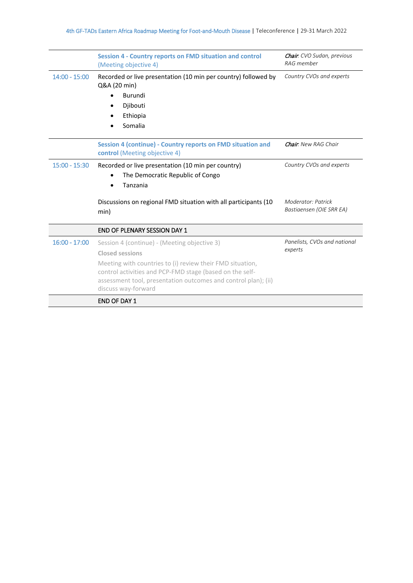|                 | <b>Session 4 - Country reports on FMD situation and control</b><br>(Meeting objective 4)                                                                                                                       | <b>Chair</b> : CVO Sudan, previous<br>RAG member |  |
|-----------------|----------------------------------------------------------------------------------------------------------------------------------------------------------------------------------------------------------------|--------------------------------------------------|--|
| $14:00 - 15:00$ | Recorded or live presentation (10 min per country) followed by<br>Q&A (20 min)                                                                                                                                 | Country CVOs and experts                         |  |
|                 | Burundi                                                                                                                                                                                                        |                                                  |  |
|                 | Djibouti                                                                                                                                                                                                       |                                                  |  |
|                 | Ethiopia                                                                                                                                                                                                       |                                                  |  |
|                 | Somalia                                                                                                                                                                                                        |                                                  |  |
|                 | Session 4 (continue) - Country reports on FMD situation and<br>control (Meeting objective 4)                                                                                                                   | <b>Chair:</b> New RAG Chair                      |  |
| $15:00 - 15:30$ | Recorded or live presentation (10 min per country)<br>The Democratic Republic of Congo<br>Tanzania                                                                                                             | Country CVOs and experts                         |  |
|                 | Discussions on regional FMD situation with all participants (10<br>min)                                                                                                                                        | Moderator: Patrick<br>Bastiaensen (OIE SRR EA)   |  |
|                 | <b>END OF PLENARY SESSION DAY 1</b>                                                                                                                                                                            |                                                  |  |
| $16:00 - 17:00$ | Session 4 (continue) - (Meeting objective 3)                                                                                                                                                                   | Panelists, CVOs and national                     |  |
|                 | <b>Closed sessions</b>                                                                                                                                                                                         | experts                                          |  |
|                 | Meeting with countries to (i) review their FMD situation,<br>control activities and PCP-FMD stage (based on the self-<br>assessment tool, presentation outcomes and control plan); (ii)<br>discuss way-forward |                                                  |  |
|                 | <b>END OF DAY 1</b>                                                                                                                                                                                            |                                                  |  |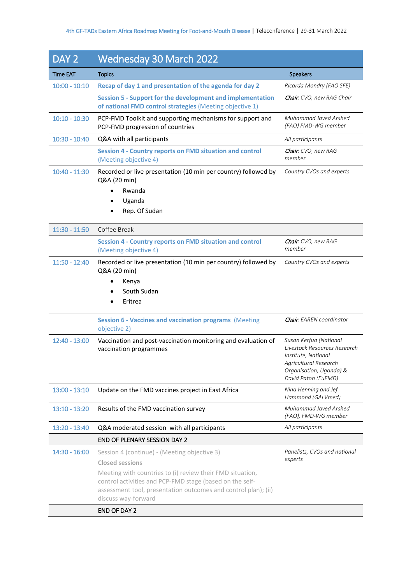| DAY <sub>2</sub> | <b>Wednesday 30 March 2022</b>                                                                                                                                                                                                                                                           |                                                                                                                                                          |
|------------------|------------------------------------------------------------------------------------------------------------------------------------------------------------------------------------------------------------------------------------------------------------------------------------------|----------------------------------------------------------------------------------------------------------------------------------------------------------|
| <b>Time EAT</b>  | <b>Topics</b>                                                                                                                                                                                                                                                                            | <b>Speakers</b>                                                                                                                                          |
| $10:00 - 10:10$  | Recap of day 1 and presentation of the agenda for day 2                                                                                                                                                                                                                                  | Ricarda Mondry (FAO SFE)                                                                                                                                 |
|                  | <b>Session 5 - Support for the development and implementation</b><br>of national FMD control strategies (Meeting objective 1)                                                                                                                                                            | <b>Chair</b> : CVO, new RAG Chair                                                                                                                        |
| $10:10 - 10:30$  | PCP-FMD Toolkit and supporting mechanisms for support and<br>PCP-FMD progression of countries                                                                                                                                                                                            | Muhammad Javed Arshed<br>(FAO) FMD-WG member                                                                                                             |
| $10:30 - 10:40$  | Q&A with all participants                                                                                                                                                                                                                                                                | All participants                                                                                                                                         |
|                  | <b>Session 4 - Country reports on FMD situation and control</b><br>(Meeting objective 4)                                                                                                                                                                                                 | Chair: CVO, new RAG<br>member                                                                                                                            |
| $10:40 - 11:30$  | Recorded or live presentation (10 min per country) followed by<br>Q&A (20 min)<br>Rwanda<br>$\bullet$<br>Uganda<br>Rep. Of Sudan                                                                                                                                                         | Country CVOs and experts                                                                                                                                 |
| $11:30 - 11:50$  | Coffee Break                                                                                                                                                                                                                                                                             |                                                                                                                                                          |
|                  | <b>Session 4 - Country reports on FMD situation and control</b><br>(Meeting objective 4)                                                                                                                                                                                                 | Chair: CVO, new RAG<br>member                                                                                                                            |
| $11:50 - 12:40$  | Recorded or live presentation (10 min per country) followed by<br>Q&A (20 min)<br>Kenya<br>South Sudan<br>Eritrea                                                                                                                                                                        | Country CVOs and experts                                                                                                                                 |
|                  | <b>Session 6 - Vaccines and vaccination programs (Meeting</b><br>objective 2)                                                                                                                                                                                                            | <b>Chair</b> : EAREN coordinator                                                                                                                         |
| $12:40 - 13:00$  | Vaccination and post-vaccination monitoring and evaluation of<br>vaccination programmes                                                                                                                                                                                                  | Susan Kerfua (National<br>Livestock Resources Research<br>Institute, National<br>Agricultural Research<br>Organisation, Uganda) &<br>David Paton (EuFMD) |
| $13:00 - 13:10$  | Update on the FMD vaccines project in East Africa                                                                                                                                                                                                                                        | Nina Henning and Jef<br>Hammond (GALVmed)                                                                                                                |
| $13:10 - 13:20$  | Results of the FMD vaccination survey                                                                                                                                                                                                                                                    | Muhammad Javed Arshed<br>(FAO), FMD-WG member                                                                                                            |
| $13:20 - 13:40$  | Q&A moderated session with all participants                                                                                                                                                                                                                                              | All participants                                                                                                                                         |
|                  | <b>END OF PLENARY SESSION DAY 2</b>                                                                                                                                                                                                                                                      |                                                                                                                                                          |
| $14:30 - 16:00$  | Session 4 (continue) - (Meeting objective 3)<br><b>Closed sessions</b><br>Meeting with countries to (i) review their FMD situation,<br>control activities and PCP-FMD stage (based on the self-<br>assessment tool, presentation outcomes and control plan); (ii)<br>discuss way-forward | Panelists, CVOs and national<br>experts                                                                                                                  |
|                  | <b>END OF DAY 2</b>                                                                                                                                                                                                                                                                      |                                                                                                                                                          |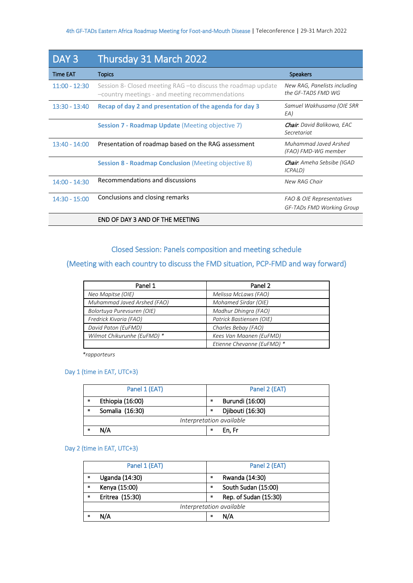| DAY <sub>3</sub> | Thursday 31 March 2022                                                                                           |                                                    |
|------------------|------------------------------------------------------------------------------------------------------------------|----------------------------------------------------|
| <b>Time EAT</b>  | <b>Topics</b>                                                                                                    | <b>Speakers</b>                                    |
| $11:00 - 12:30$  | Session 8- Closed meeting RAG - to discuss the roadmap update<br>-country meetings - and meeting recommendations | New RAG, Panelists including<br>the GF-TADS FMD WG |
| $13:30 - 13:40$  | Recap of day 2 and presentation of the agenda for day 3                                                          | Samuel Wakhusama (OIE SRR<br>EA)                   |
|                  | Session 7 - Roadmap Update (Meeting objective 7)                                                                 | <b>Chair</b> : David Balikowa, EAC<br>Secretariat  |
| $13:40 - 14:00$  | Presentation of roadmap based on the RAG assessment                                                              | Muhammad Javed Arshed<br>(FAO) FMD-WG member       |
|                  | <b>Session 8 - Roadmap Conclusion</b> (Meeting objective 8)                                                      | <b>Chair</b> : Ameha Sebsibe (IGAD<br>ICPALD)      |
| $14:00 - 14:30$  | Recommendations and discussions                                                                                  | New RAG Chair                                      |
| $14:30 - 15:00$  | Conclusions and closing remarks                                                                                  | FAO & OIE Representatives                          |
|                  |                                                                                                                  | GF-TADs FMD Working Group                          |
|                  | END OF DAY 3 AND OF THE MEETING                                                                                  |                                                    |

# Closed Session: Panels composition and meeting schedule

# (Meeting with each country to discuss the FMD situation, PCP-FMD and way forward)

| Panel 1                     | Panel 2                    |
|-----------------------------|----------------------------|
| Neo Mapitse (OIE)           | Melissa McLaws (FAO)       |
| Muhammad Javed Arshed (FAO) | Mohamed Sirdar (OIE)       |
| Bolortuya Purevsuren (OIE)  | Madhur Dhingra (FAO)       |
| Fredrick Kivaria (FAO)      | Patrick Bastiensen (OIE)   |
| David Paton (EuFMD)         | Charles Bebay (FAO)        |
| Wilmot Chikurunhe (EuFMD) * | Kees Van Maanen (EuFMD)    |
|                             | Etienne Chevanne (EuFMD) * |

 *\*rapporteurs* 

#### Day 1 (time in EAT, UTC+3)

|                          | Panel 1 (EAT)    |   | Panel 2 (EAT)    |
|--------------------------|------------------|---|------------------|
|                          | Ethiopia (16:00) | ٠ | Burundi (16:00)  |
|                          | Somalia (16:30)  | ٠ | Djibouti (16:30) |
| Interpretation available |                  |   |                  |
|                          | N/A              |   | En. Fr           |

#### Day 2 (time in EAT, UTC+3)

| Panel 1 (EAT)            |   | Panel 2 (EAT)         |
|--------------------------|---|-----------------------|
| Uganda (14:30)           | ٠ | Rwanda (14:30)        |
| Kenya (15:00)            | ٠ | South Sudan (15:00)   |
| Eritrea (15:30)          | ٠ | Rep. of Sudan (15:30) |
| Interpretation available |   |                       |
| N/A                      | ٠ | N/A                   |